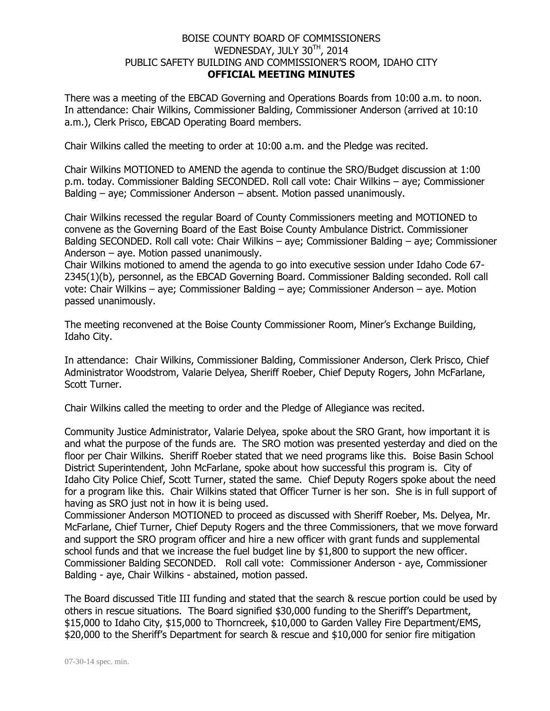## BOISE COUNTY BOARD OF COMMISSIONERS WEDNESDAY, JULY 30TH, 2014 PUBLIC SAFETY BUILDING AND COMMISSIONER'S ROOM, IDAHO CITY **OFFICIAL MEETING MINUTES**

There was a meeting of the EBCAD Governing and Operations Boards from 10:00 a.m. to noon. In attendance: Chair Wilkins, Commissioner Balding, Commissioner Anderson (arrived at 10:10 a.m.), Clerk Prisco, EBCAD Operating Board members.

Chair Wilkins called the meeting to order at 10:00 a.m. and the Pledge was recited.

Chair Wilkins MOTIONED to AMEND the agenda to continue the SRO/Budget discussion at 1:00 p.m. today. Commissioner Balding SECONDED. Roll call vote: Chair Wilkins – aye; Commissioner Balding – aye; Commissioner Anderson – absent. Motion passed unanimously.

Chair Wilkins recessed the regular Board of County Commissioners meeting and MOTIONED to convene as the Governing Board of the East Boise County Ambulance District. Commissioner Balding SECONDED. Roll call vote: Chair Wilkins – aye; Commissioner Balding – aye; Commissioner Anderson – aye. Motion passed unanimously.

Chair Wilkins motioned to amend the agenda to go into executive session under Idaho Code 67- 2345(1)(b), personnel, as the EBCAD Governing Board. Commissioner Balding seconded. Roll call vote: Chair Wilkins – aye; Commissioner Balding – aye; Commissioner Anderson – aye. Motion passed unanimously.

The meeting reconvened at the Boise County Commissioner Room, Miner's Exchange Building, Idaho City.

In attendance: Chair Wilkins, Commissioner Balding, Commissioner Anderson, Clerk Prisco, Chief Administrator Woodstrom, Valarie Delyea, Sheriff Roeber, Chief Deputy Rogers, John McFarlane, Scott Turner.

Chair Wilkins called the meeting to order and the Pledge of Allegiance was recited.

Community Justice Administrator, Valarie Delyea, spoke about the SRO Grant, how important it is and what the purpose of the funds are. The SRO motion was presented yesterday and died on the floor per Chair Wilkins. Sheriff Roeber stated that we need programs like this. Boise Basin School District Superintendent, John McFarlane, spoke about how successful this program is. City of Idaho City Police Chief, Scott Turner, stated the same. Chief Deputy Rogers spoke about the need for a program like this. Chair Wilkins stated that Officer Turner is her son. She is in full support of having as SRO just not in how it is being used.

Commissioner Anderson MOTIONED to proceed as discussed with Sheriff Roeber, Ms. Delyea, Mr. McFarlane, Chief Turner, Chief Deputy Rogers and the three Commissioners, that we move forward and support the SRO program officer and hire a new officer with grant funds and supplemental school funds and that we increase the fuel budget line by \$1,800 to support the new officer. Commissioner Balding SECONDED. Roll call vote: Commissioner Anderson - aye, Commissioner Balding - aye, Chair Wilkins - abstained, motion passed.

The Board discussed Title III funding and stated that the search & rescue portion could be used by others in rescue situations. The Board signified \$30,000 funding to the Sheriff's Department, \$15,000 to Idaho City, \$15,000 to Thorncreek, \$10,000 to Garden Valley Fire Department/EMS, \$20,000 to the Sheriff's Department for search & rescue and \$10,000 for senior fire mitigation